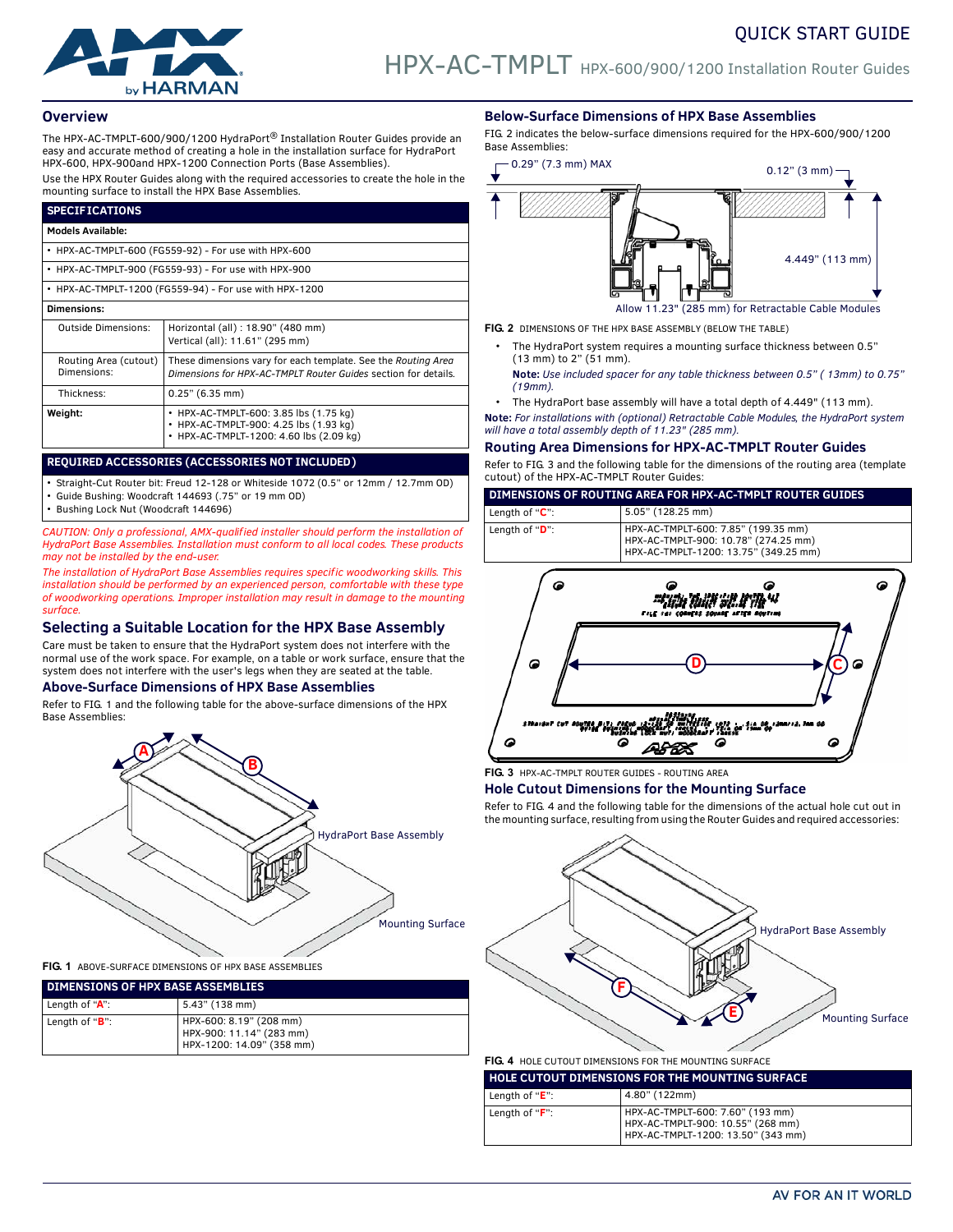

### **Overview**

The HPX-AC-TMPLT-600/900/1200 HydraPort® Installation Router Guides provide an easy and accurate method of creating a hole in the installation surface for HydraPort HPX-600, HPX-900and HPX-1200 Connection Ports (Base Assemblies).

Use the HPX Router Guides along with the required accessories to create the hole in the mounting surface to install the HPX Base Assemblies.

| <b>SPECIFICATIONS</b>                                  |                                                                                                                                 |  |  |
|--------------------------------------------------------|---------------------------------------------------------------------------------------------------------------------------------|--|--|
| <b>Models Available:</b>                               |                                                                                                                                 |  |  |
| • HPX-AC-TMPLT-600 (FG559-92) - For use with HPX-600   |                                                                                                                                 |  |  |
| • HPX-AC-TMPLT-900 (FG559-93) - For use with HPX-900   |                                                                                                                                 |  |  |
| • HPX-AC-TMPLT-1200 (FG559-94) - For use with HPX-1200 |                                                                                                                                 |  |  |
| <b>Dimensions:</b>                                     |                                                                                                                                 |  |  |
| <b>Outside Dimensions:</b>                             | Horizontal (all) : 18.90" (480 mm)<br>Vertical (all): 11.61" (295 mm)                                                           |  |  |
| Routing Area (cutout)<br>Dimensions:                   | These dimensions vary for each template. See the Routing Area<br>Dimensions for HPX-AC-TMPLT Router Guides section for details. |  |  |
| Thickness:                                             | 0.25" (6.35 mm)                                                                                                                 |  |  |
| Weight:                                                | • HPX-AC-TMPLT-600: 3.85 lbs (1.75 kg)<br>• HPX-AC-TMPLT-900: 4.25 lbs (1.93 kg)<br>• HPX-AC-TMPLT-1200: 4.60 lbs (2.09 kg)     |  |  |

#### **REQUIRED ACCESSORIES (ACCESSORIES NOT INCLUDED)**

• Straight-Cut Router bit: Freud 12-128 or Whiteside 1072 (0.5" or 12mm / 12.7mm OD)

• Guide Bushing: Woodcraft 144693 (.75" or 19 mm OD)

• Bushing Lock Nut (Woodcraft 144696)

*CAUTION: Only a professional, AMX-qualified installer should perform the installation of HydraPort Base Assemblies. Installation must conform to all local codes. These products may not be installed by the end-user.*

*The installation of HydraPort Base Assemblies requires specific woodworking skills. This installation should be performed by an experienced person, comfortable with these type of woodworking operations. Improper installation may result in damage to the mounting surface.* 

## **Selecting a Suitable Location for the HPX Base Assembly**

Care must be taken to ensure that the HydraPort system does not interfere with the normal use of the work space. For example, on a table or work surface, ensure that the system does not interfere with the user's legs when they are seated at the table.

## **Above-Surface Dimensions of HPX Base Assemblies**

Refer to [FIG. 1](#page-0-0) and the following table for the above-surface dimensions of the HPX Base Assemblies:



<span id="page-0-0"></span>**FIG. 1** ABOVE-SURFACE DIMENSIONS OF HPX BASE ASSEMBLIES

| <b>DIMENSIONS OF HPX BASE ASSEMBLIES</b> |                                                                                  |  |
|------------------------------------------|----------------------------------------------------------------------------------|--|
| Length of "A":                           | 5.43" (138 mm)                                                                   |  |
| Length of "B":                           | HPX-600: 8.19" (208 mm)<br>HPX-900: 11.14" (283 mm)<br>HPX-1200: 14.09" (358 mm) |  |

#### **Below-Surface Dimensions of HPX Base Assemblies**

FIG. 2 indicates the below-surface dimensions required for the HPX-600/900/1200 Base Assemblies:



**FIG. 2** DIMENSIONS OF THE HPX BASE ASSEMBLY (BELOW THE TABLE)

- The HydraPort system requires a mounting surface thickness between 0.5" (13 mm) to 2" (51 mm).
- **Note:** *Use included spacer for any table thickness between 0.5" ( 13mm) to 0.75" (19mm).*
- The HydraPort base assembly will have a total depth of 4.449" (113 mm).

**Note:** *For installations with (optional) Retractable Cable Modules, the HydraPort system will have a total assembly depth of 11.23" (285 mm).*

#### **Routing Area Dimensions for HPX-AC-TMPLT Router Guides**

Refer to [FIG. 3](#page-0-1) and the following table for the dimensions of the routing area (template cutout) of the HPX-AC-TMPLT Router Guides:

| DIMENSIONS OF ROUTING AREA FOR HPX-AC-TMPLT ROUTER GUIDES |                                                                             |  |
|-----------------------------------------------------------|-----------------------------------------------------------------------------|--|
| l Lenath of " <b>C</b> ":                                 | $5.05$ " (128.25 mm)                                                        |  |
| Length of " <b>D</b> ":                                   | HPX-AC-TMPLT-600: 7.85" (199.35 mm)<br>HDY AC TMDIT 000: 10 78" (274 25 mm) |  |



<span id="page-0-1"></span>**FIG. 3** HPX-AC-TMPLT ROUTER GUIDES - ROUTING AREA

#### **Hole Cutout Dimensions for the Mounting Surface**

Refer to [FIG. 4](#page-0-2) and the following table for the dimensions of the actual hole cut out in the mounting surface, resulting from using the Router Guides and required accessories:



# <span id="page-0-2"></span>**FIG. 4** HOLE CUTOUT DIMENSIONS FOR THE MOUNTING SURFACE

| <b>HOLE CUTOUT DIMENSIONS FOR THE MOUNTING SURFACE</b> |                                                                                                             |  |
|--------------------------------------------------------|-------------------------------------------------------------------------------------------------------------|--|
| Length of " $E$ ":                                     | 4.80" (122mm)                                                                                               |  |
| Lenath of " <b>F</b> ":                                | HPX-AC-TMPLT-600: 7.60" (193 mm)<br>HPX-AC-TMPLT-900: 10.55" (268 mm)<br>HPX-AC-TMPLT-1200: 13.50" (343 mm) |  |